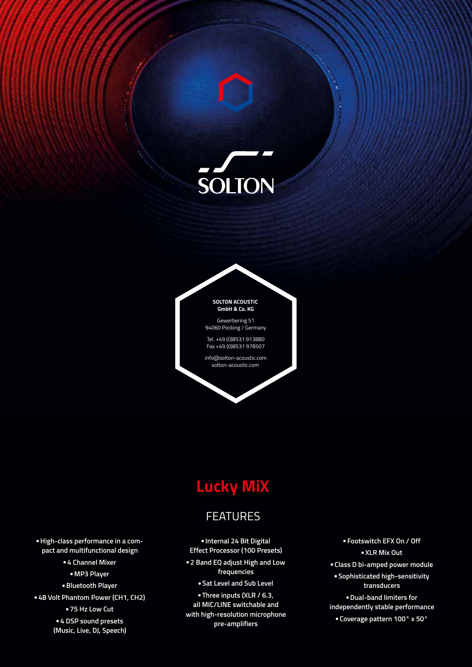



94060 Pocking / Germany

Tel. +49 (0)8531 913880 Fax +49 (0)8531 978507

info@solton-acoustic.com solton-acoustic.com

# **Lucky MiX**

## **FEATURES**

**Internal 24 Bit Digital Effect Processor (100 Presets) 2 Band EQ adjust High and Low frequencies**

**Sat Level and Sub Level**

**Three inputs (XLR / 6.3, all MIC/LINE switchable and with high-resolution microphone pre-amplifiers**

**Footswitch EFX On / Off XLR Mix Out Class D bi-amped power module Sophisticated high-sensitivity transducers Dual-band limiters for independently stable performance Coverage pattern 100° x 50°**

**High-class performance in a compact and multifunctional design 4 Channel Mixer MP3 Player Bluetooth Player 48 Volt Phantom Power (CH1, CH2) 75 Hz Low Cut**

> **4 DSP sound presets (Music, Live, DJ, Speech)**